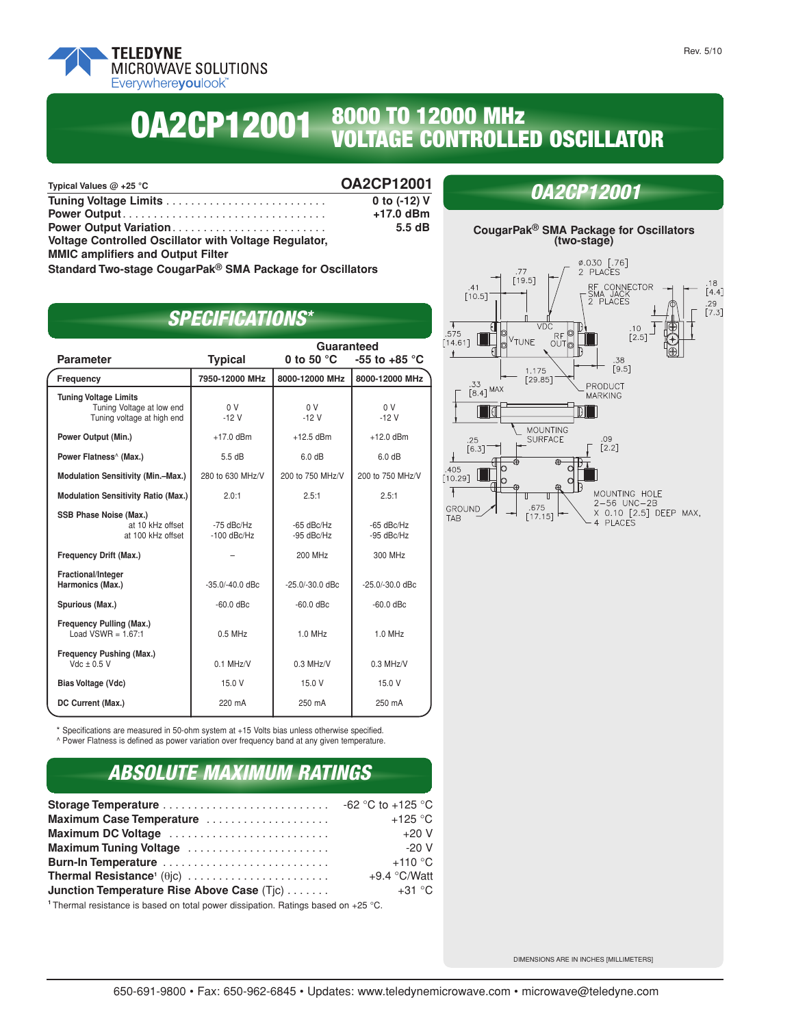

# **<sup>8000</sup> TO <sup>12000</sup> MHz OA VOLTAGE CONTROLLED OSCILLATOR 2CP12001**

| Typical Values $@$ +25 °C                             | <b>OA2CP12001</b> |
|-------------------------------------------------------|-------------------|
|                                                       | 0 to (-12) V      |
|                                                       | $+17.0$ dBm       |
| Power Output Variation                                | 5.5dB             |
| Voltage Controlled Oscillator with Voltage Regulator, |                   |
| <b>MMIC amplifiers and Output Filter</b>              |                   |
|                                                       |                   |

**Standard Two-stage CougarPak® SMA Package for Oscillators**

# *SPECIFICATIONS\**

|                                                                                         | Guaranteed                    |                            |                            |  |
|-----------------------------------------------------------------------------------------|-------------------------------|----------------------------|----------------------------|--|
| <b>Parameter</b>                                                                        | <b>Typical</b>                | 0 to 50 $^{\circ}$ C       | -55 to +85 $\degree$ C     |  |
| Frequency                                                                               | 7950-12000 MHz                | 8000-12000 MHz             | 8000-12000 MHz             |  |
| <b>Tuning Voltage Limits</b><br>Tuning Voltage at low end<br>Tuning voltage at high end | 0 <sup>V</sup><br>$-12V$      | 0 <sup>V</sup><br>$-12V$   | 0 <sup>V</sup><br>$-12V$   |  |
| Power Output (Min.)                                                                     | $+17.0$ dBm                   | $+12.5$ dBm                | $+12.0$ dBm                |  |
| Power Flatness <sup>^</sup> (Max.)                                                      | 5.5dB                         | 6.0 dB                     | 6.0 dB                     |  |
| <b>Modulation Sensitivity (Min.-Max.)</b>                                               | 280 to 630 MHz/V              | 200 to 750 MHz/V           | 200 to 750 MHz/V           |  |
| <b>Modulation Sensitivity Ratio (Max.)</b>                                              | 2.0:1                         | 2.5:1                      | 2.5:1                      |  |
| SSB Phase Noise (Max.)<br>at 10 kHz offset<br>at 100 kHz offset                         | $-75$ dBc/Hz<br>$-100$ dBc/Hz | $-65$ dBc/Hz<br>-95 dBc/Hz | $-65$ dBc/Hz<br>-95 dBc/Hz |  |
| Frequency Drift (Max.)                                                                  |                               | 200 MHz                    | 300 MHz                    |  |
| Fractional/Integer<br>Harmonics (Max.)                                                  | $-35.0/-40.0$ dBc             | $-25.0/-30.0$ dBc          | -25.0/-30.0 dBc            |  |
| Spurious (Max.)                                                                         | $-60.0$ dBc                   | $-60.0$ dBc                | $-60.0$ dBc                |  |
| Frequency Pulling (Max.)<br>Load VSWR = $1.67:1$                                        | $0.5$ MHz                     | $1.0$ MHz                  | 1.0 MHz                    |  |
| Frequency Pushing (Max.)<br>$Vdc \pm 0.5 V$                                             | $0.1$ MHz/V                   | $0.3$ MHz/V                | $0.3$ MHz/V                |  |
| Bias Voltage (Vdc)                                                                      | 15.0 V                        | 15.0 V                     | 15.0 V                     |  |
| DC Current (Max.)                                                                       | 220 mA                        | 250 mA                     | 250 mA                     |  |

\* Specifications are measured in 50-ohm system at +15 Volts bias unless otherwise specified. ^ Power Flatness is defined as power variation over frequency band at any given temperature.

### *ABSOLUTE MAXIMUM RATINGS*

| Maximum Case Temperature                   | $+125$ °C      |
|--------------------------------------------|----------------|
| Maximum DC Voltage                         | $+20V$         |
| Maximum Tuning Voltage                     | $-20V$         |
| Burn-In Temperature                        | $+110$ °C      |
|                                            | $+9.4$ °C/Watt |
| Junction Temperature Rise Above Case (Tjc) | $+31\degree$ C |

**<sup>1</sup>** Thermal resistance is based on total power dissipation. Ratings based on +25 °C.



## *OA2CP12001*

DIMENSIONS ARE IN INCHES [MILLIMETERS]